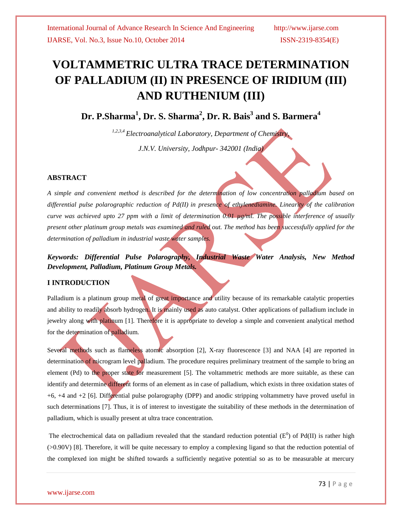# **VOLTAMMETRIC ULTRA TRACE DETERMINATION OF PALLADIUM (II) IN PRESENCE OF IRIDIUM (III) AND RUTHENIUM (III)**

**Dr. P.Sharma<sup>1</sup> , Dr. S. Sharma<sup>2</sup> , Dr. R. Bais<sup>3</sup> and S. Barmera<sup>4</sup>**

*1,2,3,4 Electroanalytical Laboratory, Department of Chemistry, J.N.V. University, Jodhpur- 342001 (India)*

#### **ABSTRACT**

*A simple and convenient method is described for the determination of low concentration palladium based on differential pulse polarographic reduction of Pd(II) in presence of ethylenediamine. Linearity of the calibration curve was achieved upto 27 ppm with a limit of determination 0.01*  $\mu$ *g/ml. The possible interference of usually present other platinum group metals was examined and ruled out. The method has been successfully applied for the determination of palladium in industrial waste water samples.*

*Keywords: Differential Pulse Polarography, Industrial Waste Water Analysis, New Method Development, Palladium, Platinum Group Metals.*

#### **I INTRODUCTION**

Palladium is a platinum group metal of great importance and utility because of its remarkable catalytic properties and ability to readily absorb hydrogen. It is mainly used as auto catalyst. Other applications of palladium include in jewelry along with platinum [1]. Therefore it is appropriate to develop a simple and convenient analytical method for the determination of palladium.

Several methods such as flameless atomic absorption [2], X-ray fluorescence [3] and NAA [4] are reported in determination of microgram level palladium. The procedure requires preliminary treatment of the sample to bring an element (Pd) to the proper state for measurement [5]. The voltammetric methods are more suitable, as these can identify and determine different forms of an element as in case of palladium, which exists in three oxidation states of +6, +4 and +2 [6]. Differential pulse polarography (DPP) and anodic stripping voltammetry have proved useful in such determinations [7]. Thus, it is of interest to investigate the suitability of these methods in the determination of palladium, which is usually present at ultra trace concentration.

The electrochemical data on palladium revealed that the standard reduction potential  $(E^0)$  of Pd(II) is rather high (>0.90V) [8]. Therefore, it will be quite necessary to employ a complexing ligand so that the reduction potential of the complexed ion might be shifted towards a sufficiently negative potential so as to be measurable at mercury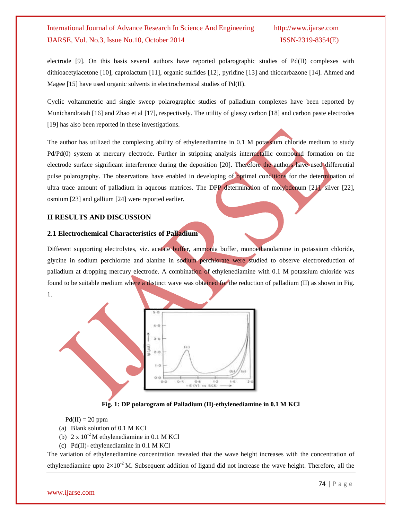## International Journal of Advance Research In Science And Engineering http://www.ijarse.com IJARSE, Vol. No.3, Issue No.10, October 2014 ISSN-2319-8354(E)

electrode [9]. On this basis several authors have reported polarographic studies of Pd(II) complexes with dithioacetylacetone [10], caprolactum [11], organic sulfides [12], pyridine [13] and thiocarbazone [14]. Ahmed and Magee [15] have used organic solvents in electrochemical studies of Pd(II).

Cyclic voltammetric and single sweep polarographic studies of palladium complexes have been reported by Munichandraiah [16] and Zhao et al [17], respectively. The utility of glassy carbon [18] and carbon paste electrodes [19] has also been reported in these investigations.

The author has utilized the complexing ability of ethylenediamine in 0.1 M potassium chloride medium to study Pd/Pd(0) system at mercury electrode. Further in stripping analysis intermetallic compound formation on the electrode surface significant interference during the deposition [20]. Therefore the authors have used differential pulse polarography. The observations have enabled in developing of optimal conditions for the determination of ultra trace amount of palladium in aqueous matrices. The DPP determination of molybdenum [21], silver [22], osmium [23] and gallium [24] were reported earlier.

#### **II RESULTS AND DISCUSSION**

#### **2.1 Electrochemical Characteristics of Palladium**

Different supporting electrolytes, viz. acetate buffer, ammonia buffer, monoethanolamine in potassium chloride, glycine in sodium perchlorate and alanine in sodium perchlorate were studied to observe electroreduction of palladium at dropping mercury electrode. A combination of ethylenediamine with 0.1 M potassium chloride was found to be suitable medium where a distinct wave was obtained for the reduction of palladium (II) as shown in Fig. 1.





#### $Pd(II) = 20$  ppm

- (a) Blank solution of 0.1 M KCl
- (b)  $2 \times 10^{-2}$  M ethylenediamine in 0.1 M KCl
- (c) Pd(II)- ethylenediamine in 0.1 M KCl

The variation of ethylenediamine concentration revealed that the wave height increases with the concentration of ethylenediamine upto  $2\times10^{-2}$  M. Subsequent addition of ligand did not increase the wave height. Therefore, all the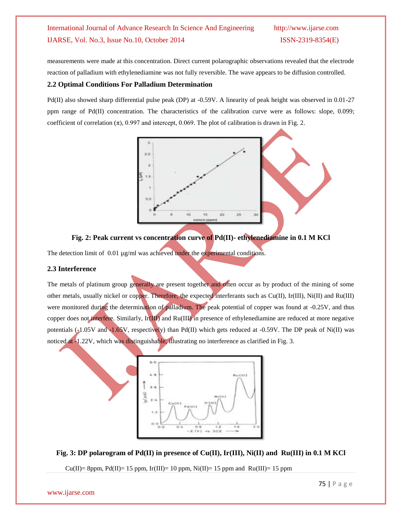# International Journal of Advance Research In Science And Engineering http://www.ijarse.com IJARSE, Vol. No.3, Issue No.10, October 2014 ISSN-2319-8354(E)

measurements were made at this concentration. Direct current polarographic observations revealed that the electrode reaction of palladium with ethylenediamine was not fully reversible. The wave appears to be diffusion controlled.

#### **2.2 Optimal Conditions For Palladium Determination**

Pd(II) also showed sharp differential pulse peak (DP) at -0.59V. A linearity of peak height was observed in 0.01-27 ppm range of Pd(II) concentration. The characteristics of the calibration curve were as follows: slope, 0.099; coefficient of correlation  $(\pi)$ , 0.997 and intercept, 0.069. The plot of calibration is drawn in Fig. 2.



**Fig. 2: Peak current vs concentration curve of Pd(II)- ethylenediamine in 0.1 M KCl** The detection limit of 0.01  $\mu$ g/ml was achieved under the experimental conditions.

#### **2.3 Interference**

The metals of platinum group generally are present together and often occur as by product of the mining of some other metals, usually nickel or copper. Therefore, the expected interferants such as Cu(II), Ir(III), Ni(II) and Ru(III) were monitored during the determination of palladium. The peak potential of copper was found at -0.25V, and thus copper does not interfere. Similarly, Ir(III) and Ru(III) in presence of ethylenediamine are reduced at more negative potentials  $\epsilon_1$ .05V and -1.65V, respectively) than Pd(II) which gets reduced at -0.59V. The DP peak of Ni(II) was noticed at -1.22V, which was distinguishable, illustrating no interference as clarified in Fig. 3.



#### **Fig. 3: DP polarogram of Pd(II) in presence of Cu(II), Ir(III), Ni(II) and Ru(III) in 0.1 M KCl**

Cu(II)= 8ppm, Pd(II)= 15 ppm, Ir(III)= 10 ppm, Ni(II)= 15 ppm and Ru(III)= 15 ppm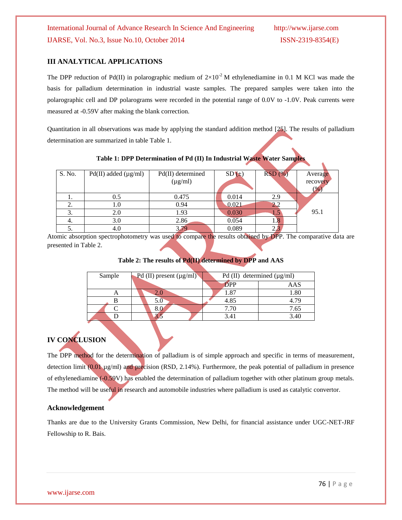### **III ANALYTICAL APPLICATIONS**

The DPP reduction of Pd(II) in polarographic medium of  $2\times10^{-2}$  M ethylenediamine in 0.1 M KCl was made the basis for palladium determination in industrial waste samples. The prepared samples were taken into the polarographic cell and DP polarograms were recorded in the potential range of 0.0V to -1.0V. Peak currents were measured at -0.59V after making the blank correction.

Quantitation in all observations was made by applying the standard addition method [25]. The results of palladium determination are summarized in table Table 1.

| S. No. | $Pd(II)$ added $(\mu g/ml)$ | $Pd(II)$ determined<br>$(\mu g/ml)$ | SD(1) | RSD(%) | Average<br>recovery<br>$\frac{10}{6}$ |
|--------|-----------------------------|-------------------------------------|-------|--------|---------------------------------------|
|        | 0.5                         | 0.475                               | 0.014 | 2.9    |                                       |
| ۷.     | 1.0                         | 0.94                                | 0.021 | 2.2    |                                       |
| 3.     | 2.0                         | 1.93                                | 0.030 |        | 95.1                                  |
| 4.     | 3.0                         | 2.86                                | 0.054 | 1.0    |                                       |
| J.     | 4.0                         |                                     | 0.089 | 2.3    |                                       |

**Table 1: DPP Determination of Pd (II) In Industrial Waste Water Samples**

Atomic absorption spectrophotometry was used to compare the results obtained by DPP. The comparative data are presented in Table 2.

|  | Table 2: The results of Pd(II) determined by DPP and AAS |  |
|--|----------------------------------------------------------|--|
|  |                                                          |  |

| Sample | $Pd$ (II) present ( $\mu$ g/ml) | Pd $(II)$ determined $(\mu g/ml)$ |      |  |
|--------|---------------------------------|-----------------------------------|------|--|
|        |                                 | $\mathsf{DPP}$                    | AAS  |  |
|        | 2.0.                            | 1.87                              | 1.80 |  |
|        | 5.0                             | 4.85                              | 4 79 |  |
|        | 8.U                             | 7.70                              | 7.65 |  |
|        |                                 | 3.41                              | 3.40 |  |

# **IV CONCLUSION**

The DPP method for the determination of palladium is of simple approach and specific in terms of measurement, detection limit  $(0.01 \,\mu\text{g/ml})$  and precision (RSD, 2.14%). Furthermore, the peak potential of palladium in presence of ethylenediamine (-0.59V) has enabled the determination of palladium together with other platinum group metals. The method will be useful in research and automobile industries where palladium is used as catalytic convertor.

#### **Acknowledgement**

Thanks are due to the University Grants Commission, New Delhi, for financial assistance under UGC-NET-JRF Fellowship to R. Bais.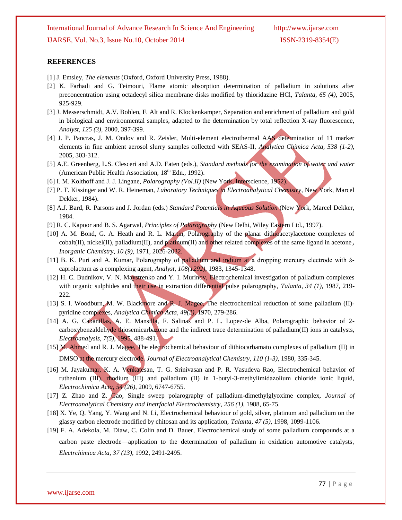International Journal of Advance Research In Science And Engineering http://www.ijarse.com

IJARSE, Vol. No.3, Issue No.10, October 2014 ISSN-2319-8354(E)

#### **REFERENCES**

- [1] J. Emsley, *The elements* (Oxford, Oxford University Press, 1988).
- [2] K. Farhadi and G. Teimouri, Flame atomic absorption determination of palladium in solutions after preconcentration using octadecyl silica membrane disks modified by thioridazine HCl, *Talanta*, *65 (4)*, 2005, 925-929.
- [3] J. Messerschmidt, A.V. Bohlen, F. Alt and R. Klockenkamper, Separation and enrichment of palladium and gold in biological and environmental samples, adapted to the determination by total reflection X-ray fluorescence, *Analyst*, *125 (3)*, 2000, 397-399.
- [4] J. P. Pancras, J. M. Ondov and R. Zeisler, Multi-element electrothermal AAS determination of 11 marker elements in fine ambient aerosol slurry samples collected with SEAS-II, *Analytica Chimica Acta, 538 (1-2)*, 2005, 303-312.
- [5] A.E. Greenberg, L.S. Clesceri and A.D. Eaten (eds.), *Standard methods for the examination of water and water* (American Public Health Association,  $18<sup>th</sup>$  Edn., 1992).
- [6] I. M. Kolthoff and J. J. Lingane, *Polarography (Vol.II)* (New York, Interscience, 1952).
- [7] P. T. Kissinger and W. R. Heineman, *Laboratory Techniques in Electroanalytical Chemistry*, New York, Marcel Dekker, 1984).
- [8] A.J. Bard, R. Parsons and J. Jordan (eds.) *Standard Potentials in Aqueous Solution* (New York, Marcel Dekker, 1984.
- [9] R. C. Kapoor and B. S. Agarwal, *Principles of Polarography* (New Delhi, Wiley Eastern Ltd., 1997).
- [10] A. M. Bond, G. A. Heath and R. L. Martin, Polarography of the planar dithioacetylacetone complexes of  $\text{cobalt}(II)$ , nickel(II), palladium(II), and platinum(II) and other related complexes of the same ligand in acetone, *Inorganic Chemistry*, *10 (9)*, 1971, 2026-2032.
- [11] B. K. Puri and A. Kumar, Polarography of palladium and indium at a dropping mercury electrode with  $\acute{\epsilon}$ caprolactum as a complexing agent, *Analyst*, *108(1292)*, 1983, 1345-1348.
- [12] H. C. Budnikov, V. N. Maystrenko and Y. I. Murinov, Electrochemical investigation of palladium complexes with organic sulphides and their use in extraction differential pulse polarography, *Talanta*, *34 (1)*, 1987, 219- 222.
- [13] S. I. Woodburn, M. W. Blackmore and R. J. Magee, The electrochemical reduction of some palladium (II) pyridine complexes, *Analytica Chimica Acta*, *49(2)*, 1970, 279-286.
- [14] A. G. Cabanillas, A. E. Mansilla, F. Salinas and P. L. Lopez-de Alba, Polarographic behavior of 2 carboxybenzaldehyde thiosemicarbazone and the indirect trace determination of palladium(II) ions in catalysts*, Electroanalysis*, *7(5)*, 1995, 488-491.
- [15] M. Ahmed and R. J. Magee, The electrochemical behaviour of dithiocarbamato complexes of palladium (II) in DMSO at the mercury electrode, *Journal of Electroanalytical Chemistry*, *110 (1-3)*, 1980, 335-345.
- [16] M. Jayakumar, K. A. Venkatesan, T. G. Srinivasan and P. R. Vasudeva Rao, Electrochemical behavior of ruthenium (III), rhodium (III) and palladium (II) in 1-butyl-3-methylimidazolium chloride ionic liquid, *Electrochimica Acta, 54 (26)*, 2009, 6747-6755.
- [17] Z. Zhao and Z. Gao, Single sweep polarography of palladium-dimethylglyoxime complex, *Journal of Electroanalytical Chemistry and Inetrfacial Electrochemistry*, *256 (1)*, 1988, 65-75.
- [18] X. Ye, Q. Yang, Y. Wang and N. Li, Electrochemical behaviour of gold, silver, platinum and palladium on the glassy carbon electrode modified by chitosan and its application, *Talanta*, *47 (5)*, 1998, 1099-1106.
- [19] F. A. Adekola, M. Diaw, C. Colin and D. Bauer, Electrochemical study of some palladium compounds at a carbon paste electrode—application to the determination of palladium in oxidation automotive catalysts, *Electrchimica Acta*, *37 (13)*, 1992, 2491-2495.